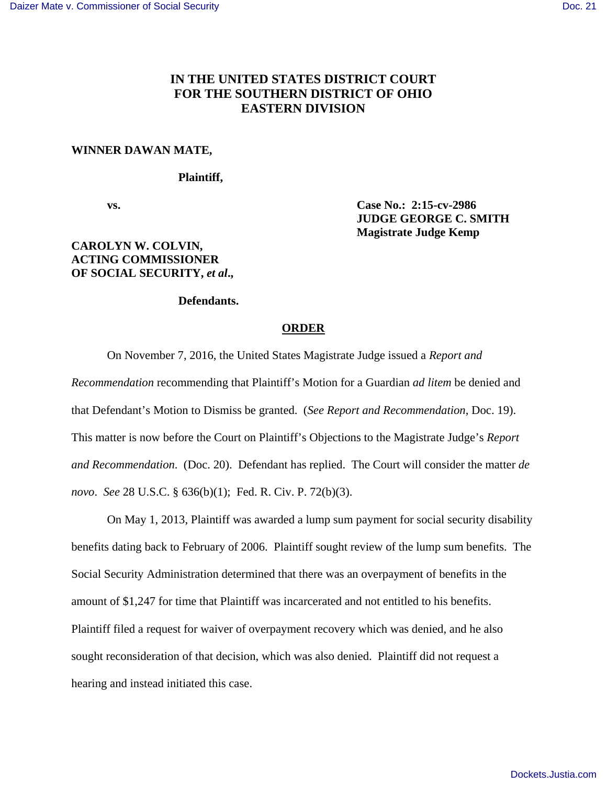# **IN THE UNITED STATES DISTRICT COURT FOR THE SOUTHERN DISTRICT OF OHIO EASTERN DIVISION**

#### **WINNER DAWAN MATE,**

### **Plaintiff,**

 **vs. Case No.: 2:15-cv-2986 JUDGE GEORGE C. SMITH Magistrate Judge Kemp**

## **CAROLYN W. COLVIN, ACTING COMMISSIONER OF SOCIAL SECURITY,** *et al***.,**

#### **Defendants.**

#### **ORDER**

On November 7, 2016, the United States Magistrate Judge issued a *Report and* 

*Recommendation* recommending that Plaintiff's Motion for a Guardian *ad litem* be denied and that Defendant's Motion to Dismiss be granted. (*See Report and Recommendation*, Doc. 19). This matter is now before the Court on Plaintiff's Objections to the Magistrate Judge's *Report and Recommendation*. (Doc. 20). Defendant has replied. The Court will consider the matter *de novo*. *See* 28 U.S.C. § 636(b)(1); Fed. R. Civ. P. 72(b)(3).

 On May 1, 2013, Plaintiff was awarded a lump sum payment for social security disability benefits dating back to February of 2006. Plaintiff sought review of the lump sum benefits. The Social Security Administration determined that there was an overpayment of benefits in the amount of \$1,247 for time that Plaintiff was incarcerated and not entitled to his benefits. Plaintiff filed a request for waiver of overpayment recovery which was denied, and he also sought reconsideration of that decision, which was also denied. Plaintiff did not request a hearing and instead initiated this case.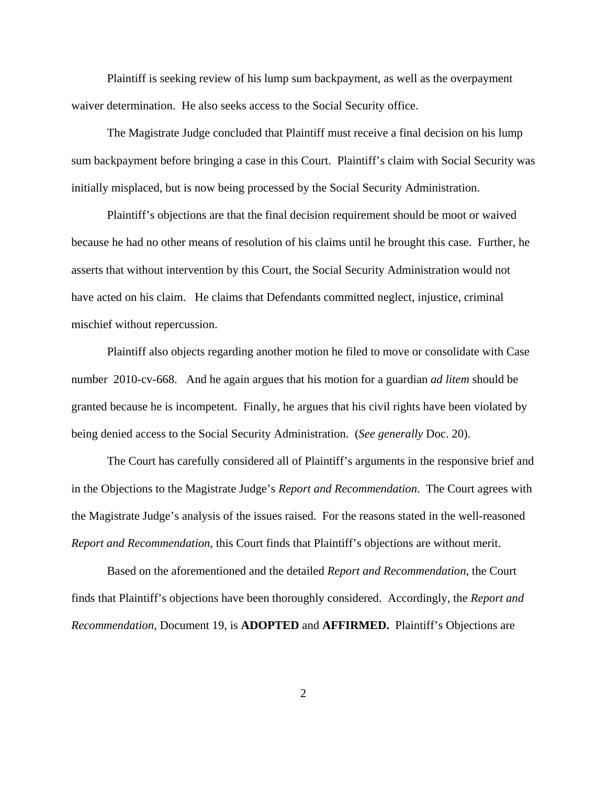Plaintiff is seeking review of his lump sum backpayment, as well as the overpayment waiver determination. He also seeks access to the Social Security office.

 The Magistrate Judge concluded that Plaintiff must receive a final decision on his lump sum backpayment before bringing a case in this Court. Plaintiff's claim with Social Security was initially misplaced, but is now being processed by the Social Security Administration.

 Plaintiff's objections are that the final decision requirement should be moot or waived because he had no other means of resolution of his claims until he brought this case. Further, he asserts that without intervention by this Court, the Social Security Administration would not have acted on his claim. He claims that Defendants committed neglect, injustice, criminal mischief without repercussion.

 Plaintiff also objects regarding another motion he filed to move or consolidate with Case number 2010-cv-668. And he again argues that his motion for a guardian *ad litem* should be granted because he is incompetent. Finally, he argues that his civil rights have been violated by being denied access to the Social Security Administration. (*See generally* Doc. 20).

 The Court has carefully considered all of Plaintiff's arguments in the responsive brief and in the Objections to the Magistrate Judge's *Report and Recommendation*. The Court agrees with the Magistrate Judge's analysis of the issues raised. For the reasons stated in the well-reasoned *Report and Recommendation*, this Court finds that Plaintiff's objections are without merit.

 Based on the aforementioned and the detailed *Report and Recommendation*, the Court finds that Plaintiff's objections have been thoroughly considered. Accordingly, the *Report and Recommendation,* Document 19, is **ADOPTED** and **AFFIRMED.** Plaintiff's Objections are

2